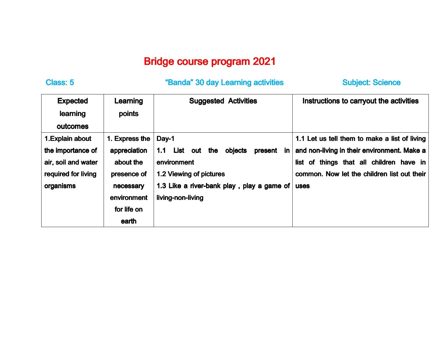## Bridge course program 2021

## Class: 5 Class: 5 Class: 5 Class: 5 Class: 5 Class: 5 Class: 5 Class: 5 Class: 5 Class: 5 Class: 5 Class: 5 Cla

Subject: Science

| <b>Expected</b>     | Learning       | <b>Suggested Activities</b>                         | Instructions to carryout the activities       |
|---------------------|----------------|-----------------------------------------------------|-----------------------------------------------|
| learning            | points         |                                                     |                                               |
| outcomes            |                |                                                     |                                               |
| 1. Explain about    | 1. Express the | Day-1                                               | 1.1 Let us tell them to make a list of living |
| the importance of   | appreciation   | List out<br>objects<br>present<br>the<br>in.<br>1.1 | and non-living in their environment. Make a   |
| air, soil and water | about the      | environment                                         | list of things that all children have in      |
| required for living | presence of    | 1.2 Viewing of pictures                             | common. Now let the children list out their   |
| <b>organisms</b>    | necessary      | 1.3 Like a river-bank play, play a game of          | <b>uses</b>                                   |
|                     | environment    | living-non-living                                   |                                               |
|                     | for life on    |                                                     |                                               |
|                     | earth          |                                                     |                                               |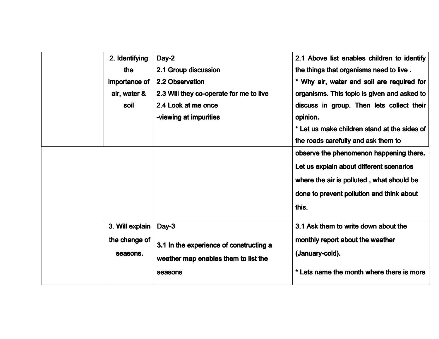| 2. Identifying<br>the<br>importance of<br>air, water &<br>soil | $Day-2$<br>2.1 Group discussion<br>2.2 Observation<br>2.3 Will they co-operate for me to live<br>2.4 Look at me once<br>-viewing at impurities | 2.1 Above list enables children to identify<br>the things that organisms need to live.<br>* Why air, water and soil are required for<br>organisms. This topic is given and asked to<br>discuss in group. Then lets collect their<br>opinion.<br>* Let us make children stand at the sides of<br>the roads carefully and ask them to<br>observe the phenomenon happening there.<br>Let us explain about different scenarios<br>where the air is polluted, what should be |
|----------------------------------------------------------------|------------------------------------------------------------------------------------------------------------------------------------------------|-------------------------------------------------------------------------------------------------------------------------------------------------------------------------------------------------------------------------------------------------------------------------------------------------------------------------------------------------------------------------------------------------------------------------------------------------------------------------|
| 3. Will explain<br>the change of<br>seasons.                   | Day-3<br>3.1 In the experience of constructing a<br>weather map enables them to list the<br>seasons                                            | done to prevent pollution and think about<br>this.<br>3.1 Ask them to write down about the<br>monthly report about the weather<br>(January-cold).<br>* Lets name the month where there is more                                                                                                                                                                                                                                                                          |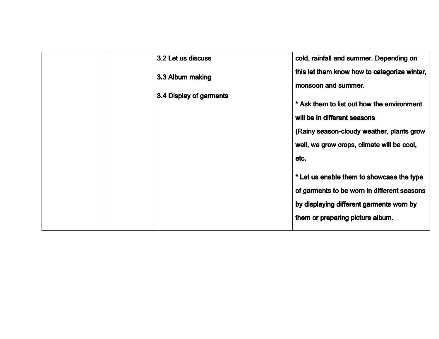| 3.2 Let us discuss      | cold, rainfall and summer. Depending on      |
|-------------------------|----------------------------------------------|
| 3.3 Album making        | this let them know how to categorize winter, |
|                         | monsoon and summer.                          |
| 3.4 Display of garments |                                              |
|                         | * Ask them to list out how the environment   |
|                         | will be in different seasons                 |
|                         | (Rainy season-cloudy weather, plants grow    |
|                         | well, we grow crops, climate will be cool,   |
|                         | etc.                                         |
|                         |                                              |
|                         | * Let us enable them to showcase the type    |
|                         | of garments to be worn in different seasons  |
|                         | by displaying different garments worn by     |
|                         | them or preparing picture album.             |
|                         |                                              |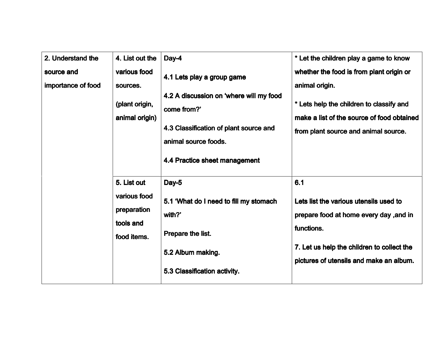| 2. Understand the                | 4. List out the                                                        | Day-4                                                                                                                                                                                   | * Let the children play a game to know                                                                                                                                                          |
|----------------------------------|------------------------------------------------------------------------|-----------------------------------------------------------------------------------------------------------------------------------------------------------------------------------------|-------------------------------------------------------------------------------------------------------------------------------------------------------------------------------------------------|
| source and<br>importance of food | various food<br>sources.<br>(plant origin,<br>animal origin)           | 4.1 Lets play a group game<br>4.2 A discussion on 'where will my food<br>come from?'<br>4.3 Classification of plant source and<br>animal source foods.<br>4.4 Practice sheet management | whether the food is from plant origin or<br>animal origin.<br>* Lets help the children to classify and<br>make a list of the source of food obtained<br>from plant source and animal source.    |
|                                  | 5. List out<br>various food<br>preparation<br>tools and<br>food items. | Day-5<br>5.1 'What do I need to fill my stomach<br>with?'<br>Prepare the list.<br>5.2 Album making.<br>5.3 Classification activity.                                                     | 6.1<br>Lets list the various utensils used to<br>prepare food at home every day , and in<br>functions.<br>7. Let us help the children to collect the<br>pictures of utensils and make an album. |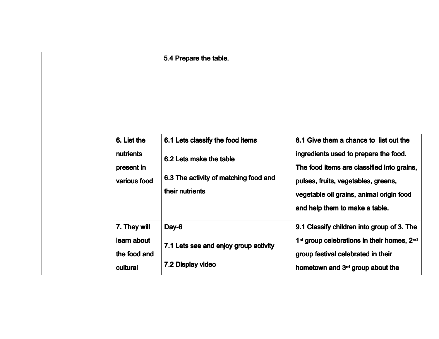|                                                         | 5.4 Prepare the table.                                                                                                  |                                                                                                                                                                                                                                                    |
|---------------------------------------------------------|-------------------------------------------------------------------------------------------------------------------------|----------------------------------------------------------------------------------------------------------------------------------------------------------------------------------------------------------------------------------------------------|
| 6. List the<br>nutrients<br>present in<br>various food  | 6.1 Lets classify the food items<br>6.2 Lets make the table<br>6.3 The activity of matching food and<br>their nutrients | 8.1 Give them a chance to list out the<br>ingredients used to prepare the food.<br>The food items are classified into grains,<br>pulses, fruits, vegetables, greens,<br>vegetable oil grains, animal origin food<br>and help them to make a table. |
| 7. They will<br>learn about<br>the food and<br>cultural | Day-6<br>7.1 Lets see and enjoy group activity<br>7.2 Display video                                                     | 9.1 Classify children into group of 3. The<br>1 <sup>st</sup> group celebrations in their homes, 2 <sup>nd</sup><br>group festival celebrated in their<br>hometown and 3 <sup>rd</sup> group about the                                             |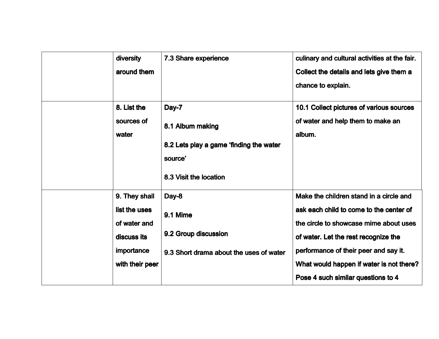| diversity<br>around them                                                                       | 7.3 Share experience                                                                                      | culinary and cultural activities at the fair.<br>Collect the details and lets give them a<br>chance to explain.                                                                                                                                                                                 |
|------------------------------------------------------------------------------------------------|-----------------------------------------------------------------------------------------------------------|-------------------------------------------------------------------------------------------------------------------------------------------------------------------------------------------------------------------------------------------------------------------------------------------------|
| 8. List the<br>sources of<br>water                                                             | Day-7<br>8.1 Album making<br>8.2 Lets play a game 'finding the water<br>source'<br>8.3 Visit the location | 10.1 Collect pictures of various sources<br>of water and help them to make an<br>album.                                                                                                                                                                                                         |
| 9. They shall<br>list the uses<br>of water and<br>discuss its<br>importance<br>with their peer | Day-8<br>9.1 Mime<br>9.2 Group discussion<br>9.3 Short drama about the uses of water                      | Make the children stand in a circle and<br>ask each child to come to the center of<br>the circle to showcase mime about uses<br>of water. Let the rest recognize the<br>performance of their peer and say it.<br>What would happen if water is not there?<br>Pose 4 such similar questions to 4 |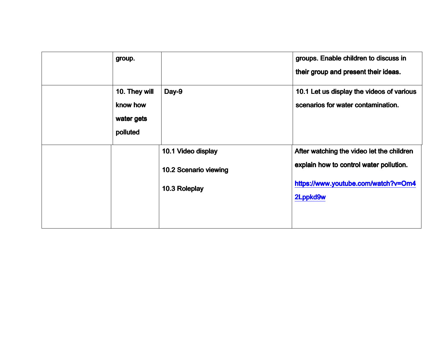| group.                                              |                                                              | groups. Enable children to discuss in<br>their group and present their ideas.                                                           |
|-----------------------------------------------------|--------------------------------------------------------------|-----------------------------------------------------------------------------------------------------------------------------------------|
| 10. They will<br>know how<br>water gets<br>polluted | Day-9                                                        | 10.1 Let us display the videos of various<br>scenarios for water contamination.                                                         |
|                                                     | 10.1 Video display<br>10.2 Scenario viewing<br>10.3 Roleplay | After watching the video let the children<br>explain how to control water pollution.<br>https://www.youtube.com/watch?v=Om4<br>2Lppkd9w |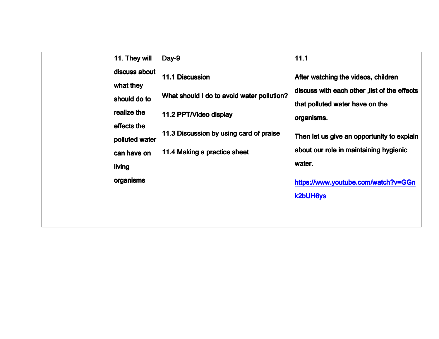| 11. They will                                | Day-9                                                                | 11.1                                                                                                                   |
|----------------------------------------------|----------------------------------------------------------------------|------------------------------------------------------------------------------------------------------------------------|
| discuss about<br>what they<br>should do to   | <b>11.1 Discussion</b><br>What should I do to avoid water pollution? | After watching the videos, children<br>discuss with each other, list of the effects<br>that polluted water have on the |
| realize the<br>effects the<br>polluted water | 11.2 PPT/Video display<br>11.3 Discussion by using card of praise    | organisms.<br>Then let us give an opportunity to explain                                                               |
| can have on<br>living<br>organisms           | 11.4 Making a practice sheet                                         | about our role in maintaining hygienic<br>water.                                                                       |
|                                              |                                                                      | https://www.youtube.com/watch?v=GGn<br><b>k2bUH6ys</b>                                                                 |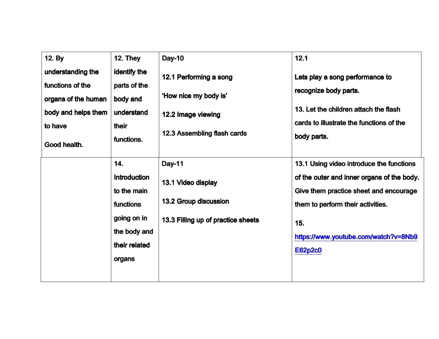| 12. By<br>understanding the<br>functions of the<br>organs of the human<br>body and helps them<br>to have<br>Good health. | 12. They<br>identify the<br>parts of the<br>body and<br>understand<br>their<br>functions.                        | <b>Day-10</b><br>12.1 Performing a song<br>'How nice my body is'<br>12.2 Image viewing<br>12.3 Assembling flash cards | 12.1<br>Lets play a song performance to<br>recognize body parts.<br>13. Let the children attach the flash<br>cards to illustrate the functions of the<br>body parts.                                                                   |
|--------------------------------------------------------------------------------------------------------------------------|------------------------------------------------------------------------------------------------------------------|-----------------------------------------------------------------------------------------------------------------------|----------------------------------------------------------------------------------------------------------------------------------------------------------------------------------------------------------------------------------------|
|                                                                                                                          | 14.<br><b>Introduction</b><br>to the main<br>functions<br>going on in<br>the body and<br>their related<br>organs | <b>Day-11</b><br>13.1 Video display<br>13.2 Group discussion<br>13.3 Filling up of practice sheets                    | 13.1 Using video introduce the functions<br>of the outer and inner organs of the body.<br>Give them practice sheet and encourage<br>them to perform their activities.<br>15.<br>https://www.youtube.com/watch?v=8Nb9<br><b>E62p2c0</b> |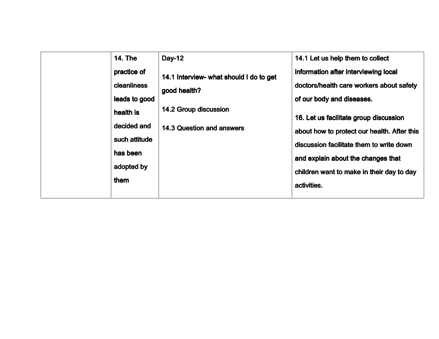| <b>14. The</b><br>practice of<br><b>cleanliness</b><br>leads to good<br>health is<br>decided and | <b>Day-12</b><br>14.1 Interview- what should I do to get<br>good health?<br><b>14.2 Group discussion</b><br><b>14.3 Question and answers</b> | 14.1 Let us help them to collect<br>information after interviewing local<br>doctors/health care workers about safety<br>of our body and diseases.<br>16. Let us facilitate group discussion |
|--------------------------------------------------------------------------------------------------|----------------------------------------------------------------------------------------------------------------------------------------------|---------------------------------------------------------------------------------------------------------------------------------------------------------------------------------------------|
| such attitude<br>has been<br>adopted by<br>them                                                  |                                                                                                                                              | about how to protect our health. After this<br>discussion facilitate them to write down<br>and explain about the changes that<br>children want to make in their day to day<br>activities.   |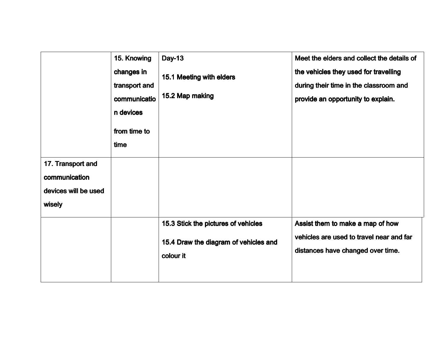|                                                                      | 15. Knowing<br>changes in<br>transport and<br>communicatio<br>n devices<br>from time to<br>time | <b>Day-13</b><br>15.1 Meeting with elders<br>15.2 Map making                 | Meet the elders and collect the details of<br>the vehicles they used for travelling<br>during their time in the classroom and<br>provide an opportunity to explain. |
|----------------------------------------------------------------------|-------------------------------------------------------------------------------------------------|------------------------------------------------------------------------------|---------------------------------------------------------------------------------------------------------------------------------------------------------------------|
| 17. Transport and<br>communication<br>devices will be used<br>wisely |                                                                                                 | 15.3 Stick the pictures of vehicles<br>15.4 Draw the diagram of vehicles and | Assist them to make a map of how<br>vehicles are used to travel near and far                                                                                        |
|                                                                      |                                                                                                 | colour it                                                                    | distances have changed over time.                                                                                                                                   |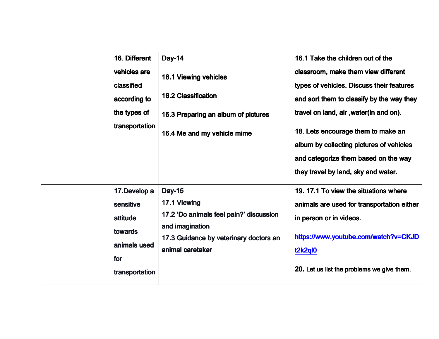| 16. Different<br>vehicles are<br>classified<br>according to<br>the types of<br>transportation | <b>Day-14</b><br>16.1 Viewing vehicles<br><b>16.2 Classification</b><br>16.3 Preparing an album of pictures<br>16.4 Me and my vehicle mime                | 16.1 Take the children out of the<br>classroom, make them view different<br>types of vehicles. Discuss their features<br>and sort them to classify by the way they<br>travel on land, air , water(in and on).<br>18. Lets encourage them to make an<br>album by collecting pictures of vehicles<br>and categorize them based on the way<br>they travel by land, sky and water. |
|-----------------------------------------------------------------------------------------------|-----------------------------------------------------------------------------------------------------------------------------------------------------------|--------------------------------------------------------------------------------------------------------------------------------------------------------------------------------------------------------------------------------------------------------------------------------------------------------------------------------------------------------------------------------|
| 17. Develop a<br>sensitive<br>attitude<br>towards<br>animals used<br>for<br>transportation    | <b>Day-15</b><br>17.1 Viewing<br>17.2 'Do animals feel pain?' discussion<br>and imagination<br>17.3 Guidance by veterinary doctors an<br>animal caretaker | 19.17.1 To view the situations where<br>animals are used for transportation either<br>in person or in videos.<br>https://www.youtube.com/watch?v=CKJD<br>t2k2ql0<br>20. Let us list the problems we give them.                                                                                                                                                                 |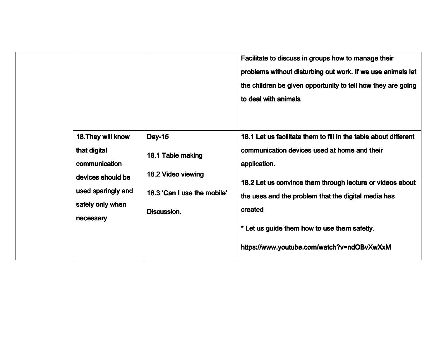|                                                                                                                                 |                                                                                                               | Facilitate to discuss in groups how to manage their<br>problems without disturbing out work. If we use animals let<br>the children be given opportunity to tell how they are going<br>to deal with animals                                                                                                                                                    |
|---------------------------------------------------------------------------------------------------------------------------------|---------------------------------------------------------------------------------------------------------------|---------------------------------------------------------------------------------------------------------------------------------------------------------------------------------------------------------------------------------------------------------------------------------------------------------------------------------------------------------------|
| 18. They will know<br>that digital<br>communication<br>devices should be<br>used sparingly and<br>safely only when<br>necessary | <b>Day-15</b><br>18.1 Table making<br>18.2 Video viewing<br>18.3 'Can I use the mobile'<br><b>Discussion.</b> | 18.1 Let us facilitate them to fill in the table about different<br>communication devices used at home and their<br>application.<br>18.2 Let us convince them through lecture or videos about<br>the uses and the problem that the digital media has<br>created<br>* Let us guide them how to use them safetly.<br>https://www.youtube.com/watch?v=ndOBvXwXxM |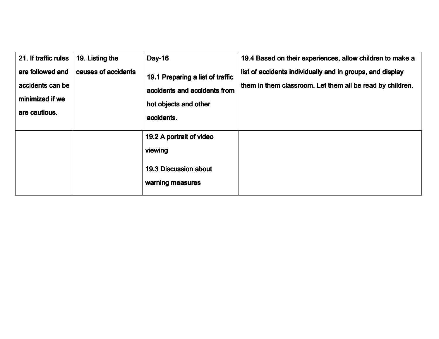| 21. If traffic rules                                                     | 19. Listing the     | <b>Day-16</b>                                                                                           | 19.4 Based on their experiences, allow children to make a                                                              |
|--------------------------------------------------------------------------|---------------------|---------------------------------------------------------------------------------------------------------|------------------------------------------------------------------------------------------------------------------------|
| are followed and<br>accidents can be<br>minimized if we<br>are cautious. | causes of accidents | 19.1 Preparing a list of traffic<br>accidents and accidents from<br>hot objects and other<br>accidents. | list of accidents individually and in groups, and display<br>them in them classroom. Let them all be read by children. |
|                                                                          |                     | 19.2 A portrait of video<br>viewing<br><b>19.3 Discussion about</b><br>warning measures                 |                                                                                                                        |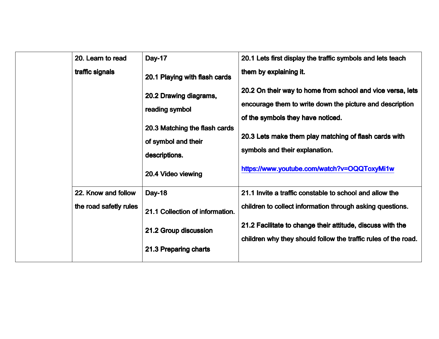| 20. Learn to read                             | <b>Day-17</b>                                                                                                                           | 20.1 Lets first display the traffic symbols and lets teach                                                                                                                                                                                                                                            |
|-----------------------------------------------|-----------------------------------------------------------------------------------------------------------------------------------------|-------------------------------------------------------------------------------------------------------------------------------------------------------------------------------------------------------------------------------------------------------------------------------------------------------|
| traffic signals                               | 20.1 Playing with flash cards                                                                                                           | them by explaining it.                                                                                                                                                                                                                                                                                |
|                                               | 20.2 Drawing diagrams,<br>reading symbol<br>20.3 Matching the flash cards<br>of symbol and their<br>descriptions.<br>20.4 Video viewing | 20.2 On their way to home from school and vice versa, lets<br>encourage them to write down the picture and description<br>of the symbols they have noticed.<br>20.3 Lets make them play matching of flash cards with<br>symbols and their explanation.<br>https://www.youtube.com/watch?v=OQQToxyMi1w |
| 22. Know and follow<br>the road safetly rules | <b>Day-18</b><br>21.1 Collection of information.<br>21.2 Group discussion<br>21.3 Preparing charts                                      | 21.1 Invite a traffic constable to school and allow the<br>children to collect information through asking questions.<br>21.2 Facilitate to change their attitude, discuss with the<br>children why they should follow the traffic rules of the road.                                                  |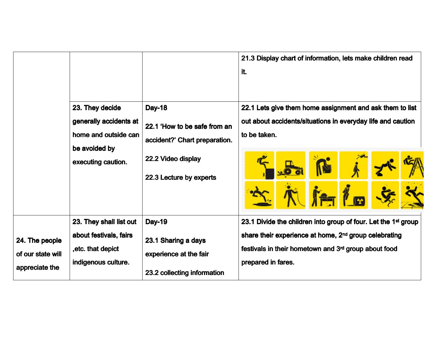|                                                       | 23. They decide                                                                                | <b>Day-18</b>                                                                                 | 21.3 Display chart of information, lets make children read                                                                                                                                                                    |
|-------------------------------------------------------|------------------------------------------------------------------------------------------------|-----------------------------------------------------------------------------------------------|-------------------------------------------------------------------------------------------------------------------------------------------------------------------------------------------------------------------------------|
|                                                       | generally accidents at                                                                         | 22.1 'How to be safe from an                                                                  | it.                                                                                                                                                                                                                           |
|                                                       | home and outside can                                                                           | accident?' Chart preparation.                                                                 | 22.1 Lets give them home assignment and ask them to list                                                                                                                                                                      |
|                                                       | be avoided by                                                                                  | 22.2 Video display                                                                            | out about accidents/situations in everyday life and caution                                                                                                                                                                   |
|                                                       | executing caution.                                                                             | 22.3 Lecture by experts                                                                       | to be taken.                                                                                                                                                                                                                  |
| 24. The people<br>of our state will<br>appreciate the | 23. They shall list out<br>about festivals, fairs<br>, etc. that depict<br>indigenous culture. | <b>Day-19</b><br>23.1 Sharing a days<br>experience at the fair<br>23.2 collecting information | 23.1 Divide the children into group of four. Let the 1 <sup>st</sup> group<br>share their experience at home, 2 <sup>nd</sup> group celebrating<br>festivals in their hometown and 3rd group about food<br>prepared in fares. |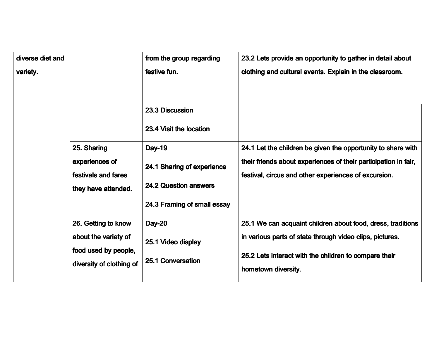| diverse diet and |                                                                                                 | from the group regarding                                                                                   | 23.2 Lets provide an opportunity to gather in detail about                                                                                                                                              |
|------------------|-------------------------------------------------------------------------------------------------|------------------------------------------------------------------------------------------------------------|---------------------------------------------------------------------------------------------------------------------------------------------------------------------------------------------------------|
| variety.         |                                                                                                 | festive fun.                                                                                               | clothing and cultural events. Explain in the classroom.                                                                                                                                                 |
|                  |                                                                                                 | 23.3 Discussion<br>23.4 Visit the location                                                                 |                                                                                                                                                                                                         |
|                  | 25. Sharing<br>experiences of<br>festivals and fares<br>they have attended.                     | <b>Day-19</b><br>24.1 Sharing of experience<br><b>24.2 Question answers</b><br>24.3 Framing of small essay | 24.1 Let the children be given the opportunity to share with<br>their friends about experiences of their participation in fair,<br>festival, circus and other experiences of excursion.                 |
|                  | 26. Getting to know<br>about the variety of<br>food used by people,<br>diversity of clothing of | <b>Day-20</b><br>25.1 Video display<br>25.1 Conversation                                                   | 25.1 We can acquaint children about food, dress, traditions<br>in various parts of state through video clips, pictures.<br>25.2 Lets interact with the children to compare their<br>hometown diversity. |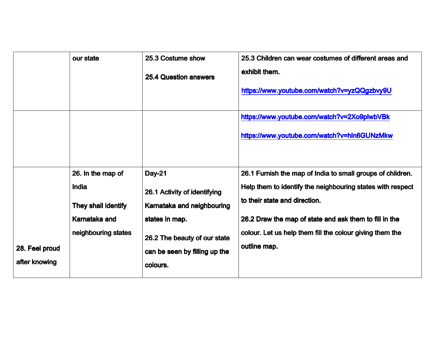|                                 | our state                                                                                        | 25.3 Costume show<br><b>25.4 Question answers</b>                                                                                                                          | 25.3 Children can wear costumes of different areas and<br>exhibit them.<br>https://www.youtube.com/watch?v=yzQQgzbvy9U                                                                                                                                                                          |
|---------------------------------|--------------------------------------------------------------------------------------------------|----------------------------------------------------------------------------------------------------------------------------------------------------------------------------|-------------------------------------------------------------------------------------------------------------------------------------------------------------------------------------------------------------------------------------------------------------------------------------------------|
|                                 |                                                                                                  |                                                                                                                                                                            | https://www.youtube.com/watch?v=2Xo9plwbVBk<br>https://www.youtube.com/watch?v=hln6GUNzMkw                                                                                                                                                                                                      |
| 28. Feel proud<br>after knowing | 26. In the map of<br><b>India</b><br>They shall identify<br>Karnataka and<br>neighbouring states | <b>Day-21</b><br>26.1 Activity of identifying<br>Karnataka and neighbouring<br>states in map.<br>26.2 The beauty of our state<br>can be seen by filling up the<br>colours. | 26.1 Furnish the map of India to small groups of children.<br>Help them to identify the neighbouring states with respect<br>to their state and direction.<br>26.2 Draw the map of state and ask them to fill in the<br>colour. Let us help them fill the colour giving them the<br>outline map. |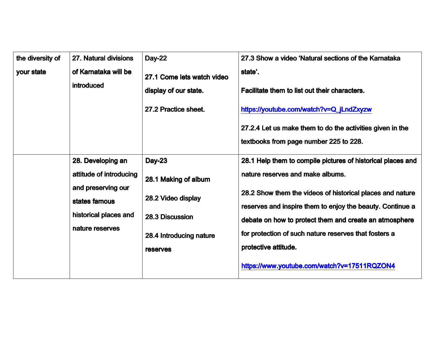| the diversity of | 27. Natural divisions                                                                                                           | <b>Day-22</b>                                                                                                                | 27.3 Show a video 'Natural sections of the Karnataka                                                                                                                                                                                                                                                                                                                                                                |
|------------------|---------------------------------------------------------------------------------------------------------------------------------|------------------------------------------------------------------------------------------------------------------------------|---------------------------------------------------------------------------------------------------------------------------------------------------------------------------------------------------------------------------------------------------------------------------------------------------------------------------------------------------------------------------------------------------------------------|
| your state       | of Karnataka will be<br>introduced                                                                                              | 27.1 Come lets watch video<br>display of our state.<br>27.2 Practice sheet.                                                  | state'.<br>Facilitate them to list out their characters.<br>https://youtube.com/watch?v=Q_jLndZxyzw<br>27.2.4 Let us make them to do the activities given in the<br>textbooks from page number 225 to 228.                                                                                                                                                                                                          |
|                  | 28. Developing an<br>attitude of introducing<br>and preserving our<br>states famous<br>historical places and<br>nature reserves | <b>Day-23</b><br>28.1 Making of album<br>28.2 Video display<br>28.3 Discussion<br>28.4 Introducing nature<br><b>reserves</b> | 28.1 Help them to compile pictures of historical places and<br>nature reserves and make albums.<br>28.2 Show them the videos of historical places and nature<br>reserves and inspire them to enjoy the beauty. Continue a<br>debate on how to protect them and create an atmosphere<br>for protection of such nature reserves that fosters a<br>protective attitude.<br>https://www.youtube.com/watch?v=17511RQZON4 |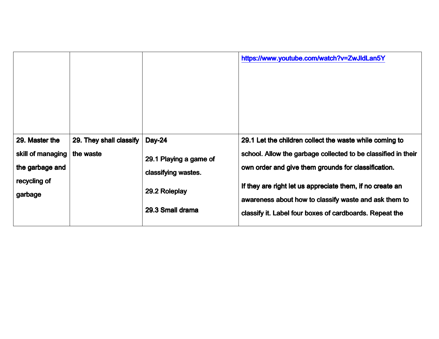|                                                                        |                                      |                                                                                 | https://www.youtube.com/watch?v=ZwJldLan5Y                                                                                                                                                                                                   |
|------------------------------------------------------------------------|--------------------------------------|---------------------------------------------------------------------------------|----------------------------------------------------------------------------------------------------------------------------------------------------------------------------------------------------------------------------------------------|
| 29. Master the<br>skill of managing<br>the garbage and<br>recycling of | 29. They shall classify<br>the waste | <b>Day-24</b><br>29.1 Playing a game of<br>classifying wastes.<br>29.2 Roleplay | 29.1 Let the children collect the waste while coming to<br>school. Allow the garbage collected to be classified in their<br>own order and give them grounds for classification.<br>If they are right let us appreciate them, if no create an |
| garbage                                                                |                                      | 29.3 Small drama                                                                | awareness about how to classify waste and ask them to<br>classify it. Label four boxes of cardboards. Repeat the                                                                                                                             |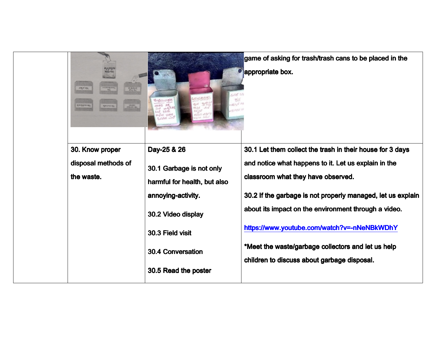| postage state<br>stop Box<br><b>ISLA-CERIS IN</b> |                                                                                                                                                                              | game of asking for trash/trash cans to be placed in the<br>appropriate box.                                                                                                                                                                                                                                                                                           |
|---------------------------------------------------|------------------------------------------------------------------------------------------------------------------------------------------------------------------------------|-----------------------------------------------------------------------------------------------------------------------------------------------------------------------------------------------------------------------------------------------------------------------------------------------------------------------------------------------------------------------|
| 30. Know proper                                   | Day-25 & 26                                                                                                                                                                  | 30.1 Let them collect the trash in their house for 3 days                                                                                                                                                                                                                                                                                                             |
| disposal methods of<br>the waste.                 | 30.1 Garbage is not only<br>harmful for health, but also<br>annoying-activity.<br>30.2 Video display<br>30.3 Field visit<br><b>30.4 Conversation</b><br>30.5 Read the poster | and notice what happens to it. Let us explain in the<br>classroom what they have observed.<br>30.2 If the garbage is not properly managed, let us explain<br>about its impact on the environment through a video.<br>https://www.youtube.com/watch?v=-nNeNBkWDhY<br>*Meet the waste/garbage collectors and let us help<br>children to discuss about garbage disposal. |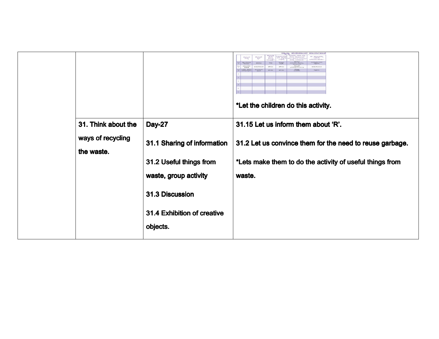|                                                        |                                                                                                                                                                | abdomead medicae<br>ுநடி<br>ವು ತನ್ನಿಲ್ಲ ಪರಮ<br>೧೮೨೦ ರು<br>ತ್ಯಾಲ್ಯದ<br>ಸ್ವಲ<br>$\frac{\partial \mathcal{L}(\mathcal{L})}{\partial \mathcal{L}(\mathcal{L})} \mathcal{L}(\mathcal{L})$<br>d dathrw sic<br>$\triangle$<br>.<br>ಶಿವಿ ಆಟು ಪರ ಆತ<br>canda Aesa<br>Canda Aesa<br>Candala<br>other as<br>www.<br>$\begin{array}{ c c c c }\hline c & d_{\text{intra}} \\ \hline \lambda & \text{over to} \\\hline \end{array}$<br>90<br><b>DESEMBATION</b><br>xona<br>$\overline{\mathcal{L}}$<br>1701307<br>att-css<br>arto esta<br>with Places<br><b>Sintwert</b><br>$T^{00,010}_{(2,10,00)}$<br>$\frac{1}{2}$<br>orves.<br>Agres<br>*Let the children do this activity. |
|--------------------------------------------------------|----------------------------------------------------------------------------------------------------------------------------------------------------------------|--------------------------------------------------------------------------------------------------------------------------------------------------------------------------------------------------------------------------------------------------------------------------------------------------------------------------------------------------------------------------------------------------------------------------------------------------------------------------------------------------------------------------------------------------------------------------------------------------------------------------------------------------------------------|
| 31. Think about the<br>ways of recycling<br>the waste. | <b>Day-27</b><br>31.1 Sharing of information<br>31.2 Useful things from<br>waste, group activity<br>31.3 Discussion<br>31.4 Exhibition of creative<br>objects. | 31.15 Let us inform them about 'R'.<br>31.2 Let us convince them for the need to reuse garbage.<br>*Lets make them to do the activity of useful things from<br>waste.                                                                                                                                                                                                                                                                                                                                                                                                                                                                                              |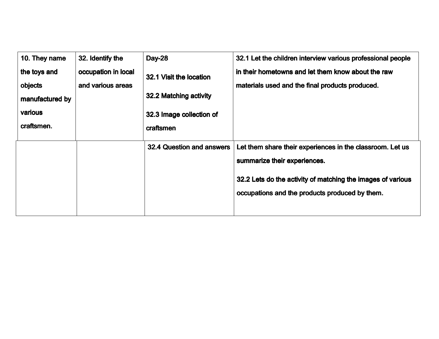| 10. They name   | 32. Identify the    | <b>Day-28</b>                    | 32.1 Let the children interview various professional people |
|-----------------|---------------------|----------------------------------|-------------------------------------------------------------|
| the toys and    | occupation in local | 32.1 Visit the location          | in their hometowns and let them know about the raw          |
| objects         | and various areas   |                                  | materials used and the final products produced.             |
| manufactured by |                     | 32.2 Matching activity           |                                                             |
| various         |                     | 32.3 Image collection of         |                                                             |
| craftsmen.      |                     | craftsmen                        |                                                             |
|                 |                     |                                  |                                                             |
|                 |                     | <b>32.4 Question and answers</b> | Let them share their experiences in the classroom. Let us   |
|                 |                     |                                  | summarize their experiences.                                |
|                 |                     |                                  | 32.2 Lets do the activity of matching the images of various |
|                 |                     |                                  | occupations and the products produced by them.              |
|                 |                     |                                  |                                                             |
|                 |                     |                                  |                                                             |